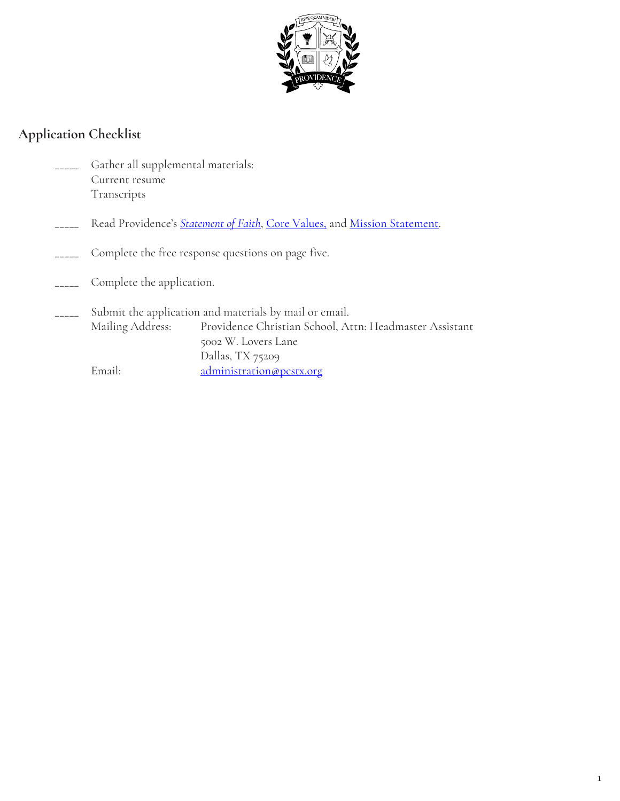

## **Application Checklist**

- Gather all supplemental materials: Current resume Transcripts
- Read Providence's **[Statement of Faith](http://www.pcstx.org/about/statement-of-faith/)**, [Core Values,](http://www.pcstx.org/about/core-values/) and [Mission Statement.](http://www.pcstx.org/about/mission-statement/)
- Complete the free response questions on page five.
- Complete the application.
- Submit the application and materials by mail or email. Mailing Address: Providence Christian School, Attn: Headmaster Assistant 5002 W. Lovers Lane Dallas, TX 75209 Email: [administration@pcstx.org](mailto:administration@pcstx.org)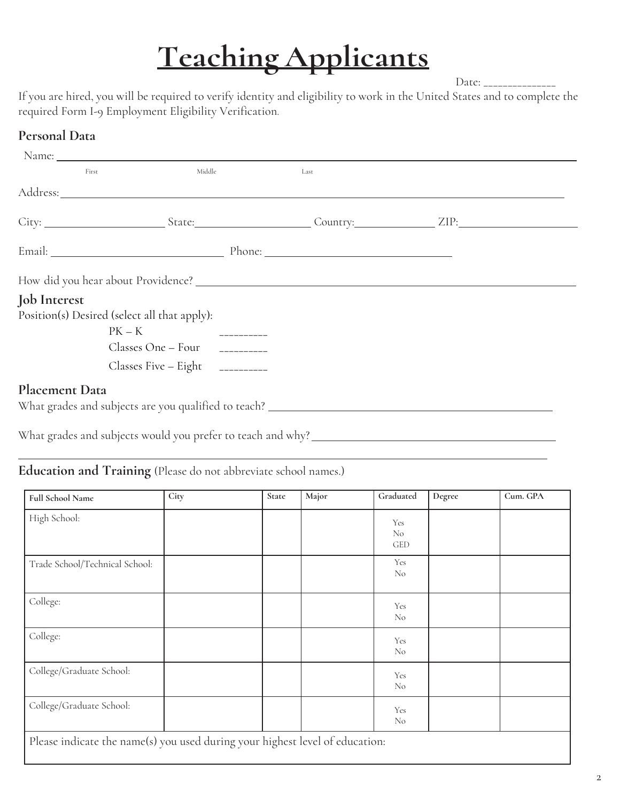Date: \_\_\_\_\_\_\_\_\_\_\_\_\_

If you are hired, you will be required to verify identity and eligibility to work in the United States and to complete the required Form I-9 Employment Eligibility Verification.

## **Personal Data**

l

| First               | Middle                                                                                                                                                                                                                         | Last |  |
|---------------------|--------------------------------------------------------------------------------------------------------------------------------------------------------------------------------------------------------------------------------|------|--|
|                     | Address: Andreas Address: Address: Address: Address: Address: Address: Address: Address: Address: Address: Address: Address: Address: Address: Address: Address: Address: Address: Address: Address: Address: Address: Address |      |  |
|                     |                                                                                                                                                                                                                                |      |  |
|                     |                                                                                                                                                                                                                                |      |  |
|                     |                                                                                                                                                                                                                                |      |  |
| <b>Job</b> Interest |                                                                                                                                                                                                                                |      |  |
|                     | Position(s) Desired (select all that apply):                                                                                                                                                                                   |      |  |
|                     | $PK - K$                                                                                                                                                                                                                       |      |  |
|                     |                                                                                                                                                                                                                                |      |  |
|                     | Classes Five $-$ Eight $-$ ----------                                                                                                                                                                                          |      |  |
| Placement Data      | What grades and subjects are you qualified to teach? ____________________________                                                                                                                                              |      |  |
|                     |                                                                                                                                                                                                                                |      |  |

What grades and subjects would you prefer to teach and why?

## **Education and Training** (Please do not abbreviate school names.)

| <b>Full School Name</b>                                                      | City | State | Major | Graduated             | Degree | Cum. GPA |
|------------------------------------------------------------------------------|------|-------|-------|-----------------------|--------|----------|
| High School:                                                                 |      |       |       | Yes<br>No<br>GED      |        |          |
| Trade School/Technical School:                                               |      |       |       | Yes<br>N <sub>o</sub> |        |          |
| College:                                                                     |      |       |       | Yes<br>N <sub>o</sub> |        |          |
| College:                                                                     |      |       |       | Yes<br>N <sub>0</sub> |        |          |
| College/Graduate School:                                                     |      |       |       | Yes<br>N <sub>o</sub> |        |          |
| College/Graduate School:                                                     |      |       |       | Yes<br>N <sub>0</sub> |        |          |
| Please indicate the name(s) you used during your highest level of education: |      |       |       |                       |        |          |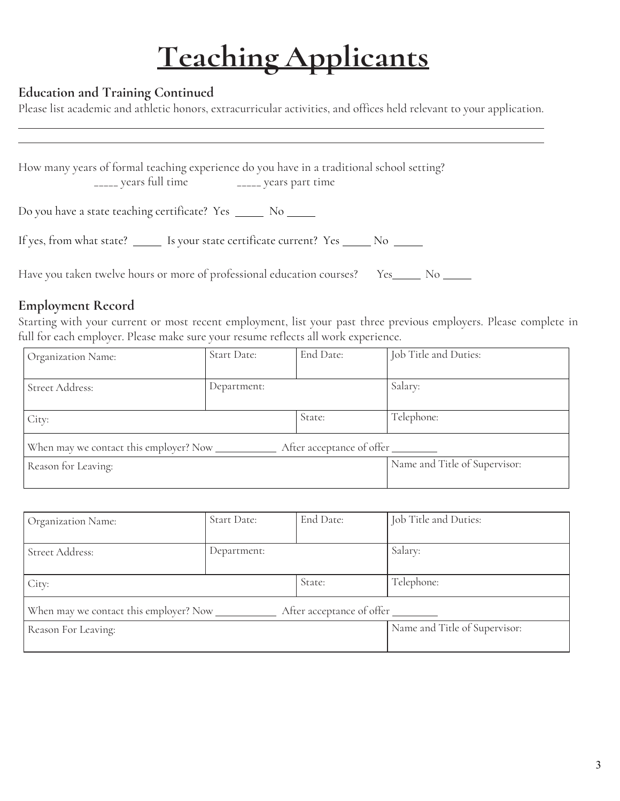#### **Education and Training Continued**

Please list academic and athletic honors, extracurricular activities, and offices held relevant to your application.

How many years of formal teaching experience do you have in a traditional school setting? \_\_\_\_\_ years full time \_\_\_\_\_ years part time Do you have a state teaching certificate? Yes \_\_\_\_\_\_ No \_\_\_\_\_\_ If yes, from what state? \_\_\_\_\_\_ Is your state certificate current? Yes \_\_\_\_\_ No \_\_\_\_\_ Have you taken twelve hours or more of professional education courses? Yes \_\_\_\_\_\_ No \_\_\_\_\_

### **Employment Record**

 $\overline{a}$  $\overline{a}$ 

Starting with your current or most recent employment, list your past three previous employers. Please complete in full for each employer. Please make sure your resume reflects all work experience.

| Organization Name:  | Start Date: | End Date:                 | Job Title and Duties:         |
|---------------------|-------------|---------------------------|-------------------------------|
|                     |             |                           |                               |
| Street Address:     | Department: |                           | Salary:                       |
|                     |             |                           |                               |
| City:               |             | State:                    | Telephone:                    |
|                     |             | After acceptance of offer |                               |
| Reason for Leaving: |             |                           | Name and Title of Supervisor: |
|                     |             |                           |                               |

| Organization Name:                                                  | Start Date: | End Date: | Job Title and Duties:         |  |
|---------------------------------------------------------------------|-------------|-----------|-------------------------------|--|
|                                                                     |             |           |                               |  |
| Street Address:                                                     | Department: |           | Salary:                       |  |
|                                                                     |             |           |                               |  |
| City:                                                               |             | State:    | Telephone:                    |  |
| When may we contact this employer? Now<br>After acceptance of offer |             |           |                               |  |
| Reason For Leaving:                                                 |             |           | Name and Title of Supervisor: |  |
|                                                                     |             |           |                               |  |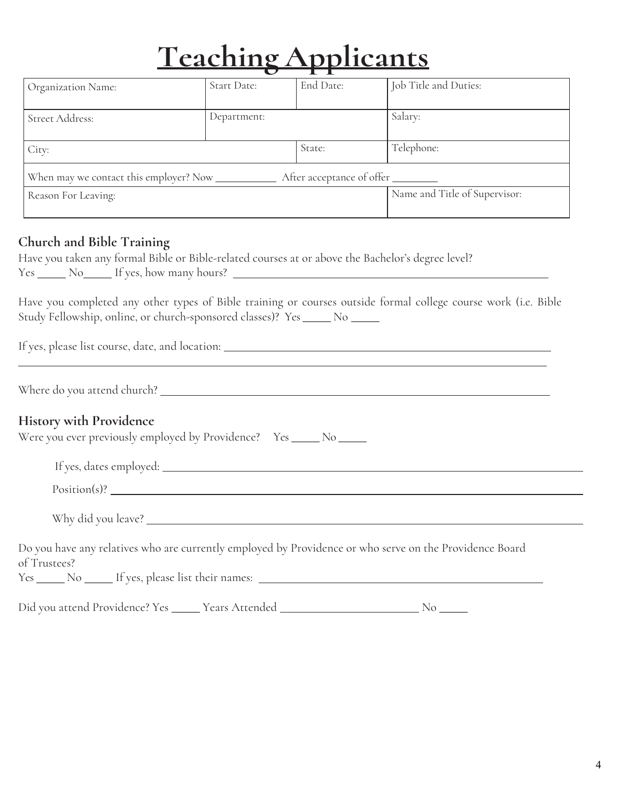| Organization Name:  | Start Date: | End Date:                    | Job Title and Duties:         |
|---------------------|-------------|------------------------------|-------------------------------|
|                     |             |                              |                               |
| Street Address:     | Department: |                              | Salary:                       |
|                     |             |                              |                               |
| City:               |             | State:                       | Telephone:                    |
|                     |             |                              |                               |
|                     |             | After acceptance of offer __ |                               |
| Reason For Leaving: |             |                              | Name and Title of Supervisor: |
|                     |             |                              |                               |

### **Church and Bible Training**

| Have you taken any formal Bible or Bible-related courses at or above the Bachelor's degree level? |  |
|---------------------------------------------------------------------------------------------------|--|
| Yes <u>Not If yes, how many hours?</u>                                                            |  |

Have you completed any other types of Bible training or courses outside formal college course work (i.e. Bible Study Fellowship, online, or church-sponsored classes)? Yes \_\_\_\_\_\_ No \_\_\_\_\_\_

If yes, please list course, date, and location:

Where do you attend church?

 $\overline{a}$ 

#### **History with Providence**

| Were you ever previously employed by Providence? Yes |  |  |  | No |
|------------------------------------------------------|--|--|--|----|
|------------------------------------------------------|--|--|--|----|

| If yes, dates employed: _ |  |  |
|---------------------------|--|--|
| $Position(s)$ ?           |  |  |
| Why did you leave? _      |  |  |

Do you have any relatives who are currently employed by Providence or who serve on the Providence Board of Trustees?

Yes \_\_\_\_\_ No \_\_\_\_\_ If yes, please list their names: \_\_\_\_\_\_\_\_\_\_\_\_\_\_\_\_\_\_\_\_\_\_\_\_\_\_\_\_\_

Did you attend Providence? Yes \_\_\_\_\_ Years Attended \_\_\_\_\_\_\_\_\_\_\_\_\_\_\_\_\_\_\_\_\_\_\_\_\_\_\_\_ No \_\_\_\_\_\_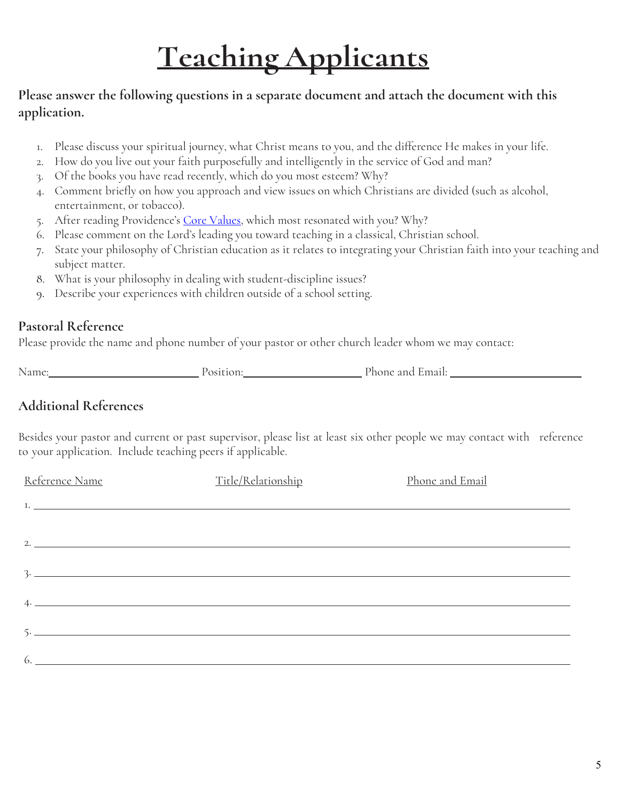### **Please answer the following questions in a separate document and attach the document with this application.**

- 1. Please discuss your spiritual journey, what Christ means to you, and the difference He makes in your life.
- 2. How do you live out your faith purposefully and intelligently in the service of God and man?
- 3. Of the books you have read recently, which do you most esteem? Why?
- 4. Comment briefly on how you approach and view issues on which Christians are divided (such as alcohol, entertainment, or tobacco).
- 5. After reading Providence's [Core Values,](http://www.pcstx.org/about/core-values/) which most resonated with you? Why?
- 6. Please comment on the Lord's leading you toward teaching in a classical, Christian school.
- 7. State your philosophy of Christian education as it relates to integrating your Christian faith into your teaching and subject matter.
- 8. What is your philosophy in dealing with student-discipline issues?
- 9. Describe your experiences with children outside of a school setting.

### **Pastoral Reference**

Please provide the name and phone number of your pastor or other church leader whom we may contact:

Name: Position: Phone and Email:

## **Additional References**

Besides your pastor and current or past supervisor, please list at least six other people we may contact with reference to your application. Include teaching peers if applicable.

| <u>Reference Name</u> | Title/Relationship | Phone and Email |
|-----------------------|--------------------|-----------------|
|                       |                    |                 |
|                       |                    |                 |
| 2.                    |                    |                 |
|                       |                    |                 |
| $\frac{3}{2}$         |                    |                 |
| $4.$ $4.$             |                    |                 |
|                       |                    |                 |
|                       |                    |                 |
| 6.                    |                    |                 |
|                       |                    |                 |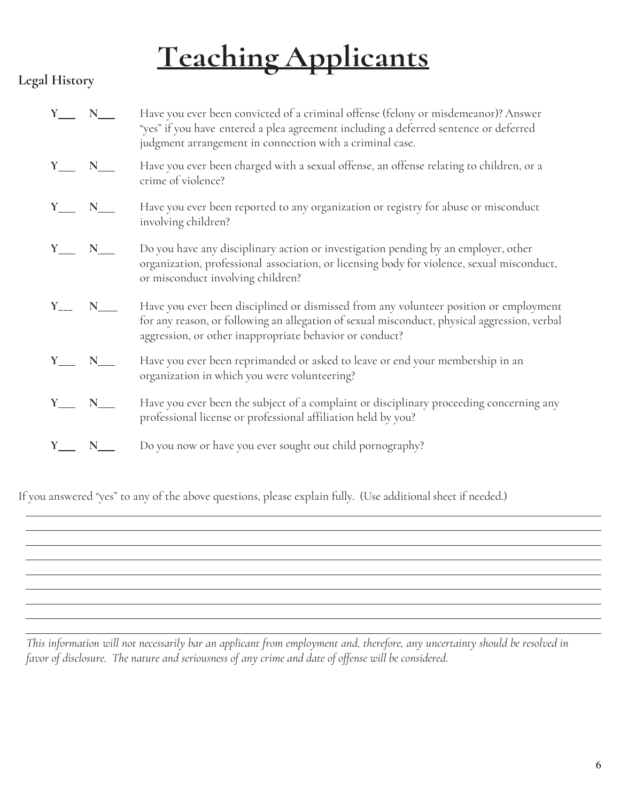## **Legal History**

| $Y_$ $N_$ |                 | Have you ever been convicted of a criminal offense (felony or misdemeanor)? Answer<br>"yes" if you have entered a plea agreement including a deferred sentence or deferred<br>judgment arrangement in connection with a criminal case.           |
|-----------|-----------------|--------------------------------------------------------------------------------------------------------------------------------------------------------------------------------------------------------------------------------------------------|
| $Y_$ $N_$ |                 | Have you ever been charged with a sexual offense, an offense relating to children, or a<br>crime of violence?                                                                                                                                    |
|           | N               | Have you ever been reported to any organization or registry for abuse or misconduct<br>involving children?                                                                                                                                       |
|           | $Y_$ $N_$       | Do you have any disciplinary action or investigation pending by an employer, other<br>organization, professional association, or licensing body for violence, sexual misconduct,<br>or misconduct involving children?                            |
|           | $Y_{---}$ N____ | Have you ever been disciplined or dismissed from any volunteer position or employment<br>for any reason, or following an allegation of sexual misconduct, physical aggression, verbal<br>aggression, or other inappropriate behavior or conduct? |
| $Y_$ $N_$ |                 | Have you ever been reprimanded or asked to leave or end your membership in an<br>organization in which you were volunteering?                                                                                                                    |
|           | N               | Have you ever been the subject of a complaint or disciplinary proceeding concerning any<br>professional license or professional affiliation held by you?                                                                                         |
|           |                 | Do you now or have you ever sought out child pornography?                                                                                                                                                                                        |
|           |                 |                                                                                                                                                                                                                                                  |

If you answered "yes" to any of the above questions, please explain fully. (Use additional sheet if needed.)

This information will not necessarily bar an applicant from employment and, therefore, any uncertainty should be resolved in *favor of disclosure. The nature and seriousness of any crime and date of offense will be considered*.

 $\overline{a}$